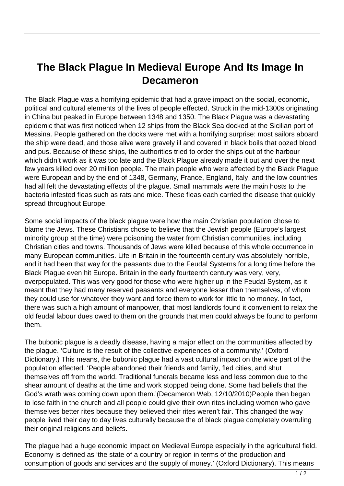## **The Black Plague In Medieval Europe And Its Image In Decameron**

The Black Plague was a horrifying epidemic that had a grave impact on the social, economic, political and cultural elements of the lives of people effected. Struck in the mid-1300s originating in China but peaked in Europe between 1348 and 1350. The Black Plague was a devastating epidemic that was first noticed when 12 ships from the Black Sea docked at the Sicilian port of Messina. People gathered on the docks were met with a horrifying surprise: most sailors aboard the ship were dead, and those alive were gravely ill and covered in black boils that oozed blood and pus. Because of these ships, the authorities tried to order the ships out of the harbour which didn't work as it was too late and the Black Plague already made it out and over the next few years killed over 20 million people. The main people who were affected by the Black Plague were European and by the end of 1348, Germany, France, England, Italy, and the low countries had all felt the devastating effects of the plague. Small mammals were the main hosts to the bacteria infested fleas such as rats and mice. These fleas each carried the disease that quickly spread throughout Europe.

Some social impacts of the black plague were how the main Christian population chose to blame the Jews. These Christians chose to believe that the Jewish people (Europe's largest minority group at the time) were poisoning the water from Christian communities, including Christian cities and towns. Thousands of Jews were killed because of this whole occurrence in many European communities. Life in Britain in the fourteenth century was absolutely horrible, and it had been that way for the peasants due to the Feudal Systems for a long time before the Black Plague even hit Europe. Britain in the early fourteenth century was very, very, overpopulated. This was very good for those who were higher up in the Feudal System, as it meant that they had many reserved peasants and everyone lesser than themselves, of whom they could use for whatever they want and force them to work for little to no money. In fact, there was such a high amount of manpower, that most landlords found it convenient to relax the old feudal labour dues owed to them on the grounds that men could always be found to perform them.

The bubonic plague is a deadly disease, having a major effect on the communities affected by the plague. 'Culture is the result of the collective experiences of a community.' (Oxford Dictionary.) This means, the bubonic plague had a vast cultural impact on the wide part of the population effected. 'People abandoned their friends and family, fled cities, and shut themselves off from the world. Traditional funerals became less and less common due to the shear amount of deaths at the time and work stopped being done. Some had beliefs that the God's wrath was coming down upon them.'(Decameron Web, 12/10/2010)People then began to lose faith in the church and all people could give their own rites including women who gave themselves better rites because they believed their rites weren't fair. This changed the way people lived their day to day lives culturally because the of black plague completely overruling their original religions and beliefs.

The plague had a huge economic impact on Medieval Europe especially in the agricultural field. Economy is defined as 'the state of a country or region in terms of the production and consumption of goods and services and the supply of money.' (Oxford Dictionary). This means